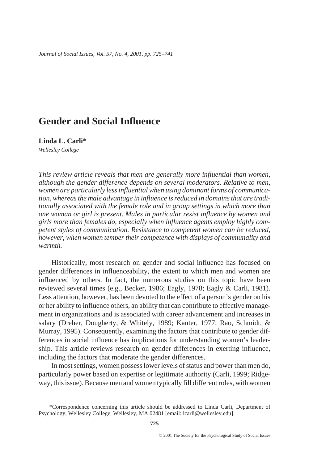**Linda L. Carli\*** *Wellesley College*

*This review article reveals that men are generally more influential than women, although the gender difference depends on several moderators. Relative to men, women are particularly less influential when using dominant forms of communication, whereas the male advantage in influence is reduced in domains that are traditionally associated with the female role and in group settings in which more than one woman or girl is present. Males in particular resist influence by women and girls more than females do, especially when influence agents employ highly competent styles of communication. Resistance to competent women can be reduced, however, when women temper their competence with displays of communality and warmth.*

Historically, most research on gender and social influence has focused on gender differences in influenceability, the extent to which men and women are influenced by others. In fact, the numerous studies on this topic have been reviewed several times (e.g., Becker, 1986; Eagly, 1978; Eagly & Carli, 1981). Less attention, however, has been devoted to the effect of a person's gender on his or her ability to influence others, an ability that can contribute to effective management in organizations and is associated with career advancement and increases in salary (Dreher, Dougherty, & Whitely, 1989; Kanter, 1977; Rao, Schmidt, & Murray, 1995). Consequently, examining the factors that contribute to gender differences in social influence has implications for understanding women's leadership. This article reviews research on gender differences in exerting influence, including the factors that moderate the gender differences.

In most settings, women possess lower levels of status and power than men do, particularly power based on expertise or legitimate authority (Carli, 1999; Ridgeway, this issue). Because men and women typically fill different roles, with women

<sup>\*</sup>Correspondence concerning this article should be addressed to Linda Carli, Department of Psychology, Wellesley College, Wellesley, MA 02481 [email: lcarli@wellesley.edu].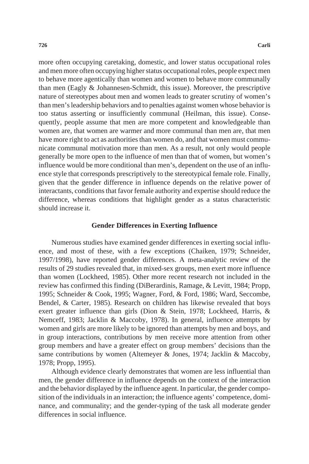more often occupying caretaking, domestic, and lower status occupational roles and men more often occupying higher status occupational roles, people expect men to behave more agentically than women and women to behave more communally than men (Eagly & Johannesen-Schmidt, this issue). Moreover, the prescriptive nature of stereotypes about men and women leads to greater scrutiny of women's than men's leadership behaviors and to penalties against women whose behavior is too status asserting or insufficiently communal (Heilman, this issue). Consequently, people assume that men are more competent and knowledgeable than women are, that women are warmer and more communal than men are, that men have more right to act as authorities than women do, and that women must communicate communal motivation more than men. As a result, not only would people generally be more open to the influence of men than that of women, but women's influence would be more conditional than men's, dependent on the use of an influence style that corresponds prescriptively to the stereotypical female role. Finally, given that the gender difference in influence depends on the relative power of interactants, conditions that favor female authority and expertise should reduce the difference, whereas conditions that highlight gender as a status characteristic should increase it.

#### **Gender Differences in Exerting Influence**

Numerous studies have examined gender differences in exerting social influence, and most of these, with a few exceptions (Chaiken, 1979; Schneider, 1997/1998), have reported gender differences. A meta-analytic review of the results of 29 studies revealed that, in mixed-sex groups, men exert more influence than women (Lockheed, 1985). Other more recent research not included in the review has confirmed this finding (DiBerardinis, Ramage, & Levitt, 1984; Propp, 1995; Schneider & Cook, 1995; Wagner, Ford, & Ford, 1986; Ward, Seccombe, Bendel, & Carter, 1985). Research on children has likewise revealed that boys exert greater influence than girls (Dion & Stein, 1978; Lockheed, Harris, & Nemceff, 1983; Jacklin & Maccoby, 1978). In general, influence attempts by women and girls are more likely to be ignored than attempts by men and boys, and in group interactions, contributions by men receive more attention from other group members and have a greater effect on group members' decisions than the same contributions by women (Altemeyer & Jones, 1974; Jacklin & Maccoby, 1978; Propp, 1995).

Although evidence clearly demonstrates that women are less influential than men, the gender difference in influence depends on the context of the interaction and the behavior displayed by the influence agent. In particular, the gender composition of the individuals in an interaction; the influence agents' competence, dominance, and communality; and the gender-typing of the task all moderate gender differences in social influence.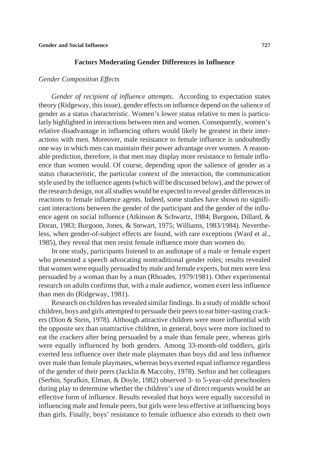### **Factors Moderating Gender Differences in Influence**

## *Gender Composition Effects*

*Gender of recipient of influence attempts.* According to expectation states theory (Ridgeway, this issue), gender effects on influence depend on the salience of gender as a status characteristic. Women's lower status relative to men is particularly highlighted in interactions between men and women. Consequently, women's relative disadvantage in influencing others would likely be greatest in their interactions with men. Moreover, male resistance to female influence is undoubtedly one way in which men can maintain their power advantage over women. A reasonable prediction, therefore, is that men may display more resistance to female influence than women would. Of course, depending upon the salience of gender as a status characteristic, the particular context of the interaction, the communication style used by the influence agents (which will be discussed below), and the power of the research design, not all studies would be expected to reveal gender differences in reactions to female influence agents. Indeed, some studies have shown no significant interactions between the gender of the participant and the gender of the influence agent on social influence (Atkinson & Schwartz, 1984; Burgoon, Dillard, & Doran, 1983; Burgoon, Jones, & Stewart, 1975; Williams, 1983/1984). Nevertheless, when gender-of-subject effects are found, with rare exceptions (Ward et al., 1985), they reveal that men resist female influence more than women do.

In one study, participants listened to an audiotape of a male or female expert who presented a speech advocating nontraditional gender roles; results revealed that women were equally persuaded by male and female experts, but men were less persuaded by a woman than by a man (Rhoades, 1979/1981). Other experimental research on adults confirms that, with a male audience, women exert less influence than men do (Ridgeway, 1981).

Research on children has revealed similar findings. In a study of middle school children, boys and girls attempted to persuade their peers to eat bitter-tasting crackers (Dion & Stein, 1978). Although attractive children were more influential with the opposite sex than unattractive children, in general, boys were more inclined to eat the crackers after being persuaded by a male than female peer, whereas girls were equally influenced by both genders. Among 33-month-old toddlers, girls exerted less influence over their male playmates than boys did and less influence over male than female playmates, whereas boys exerted equal influence regardless of the gender of their peers (Jacklin & Maccoby, 1978). Serbin and her colleagues (Serbin, Sprafkin, Elman, & Doyle, 1982) observed 3- to 5-year-old preschoolers during play to determine whether the children's use of direct requests would be an effective form of influence. Results revealed that boys were equally successful in influencing male and female peers, but girls were less effective at influencing boys than girls. Finally, boys' resistance to female influence also extends to their own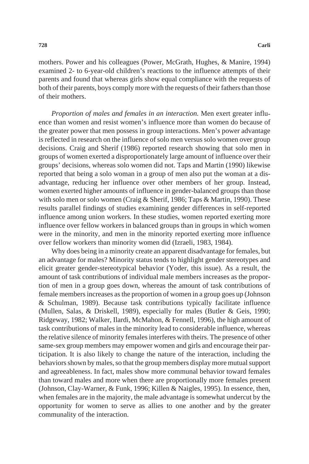mothers. Power and his colleagues (Power, McGrath, Hughes, & Manire, 1994) examined 2- to 6-year-old children's reactions to the influence attempts of their parents and found that whereas girls show equal compliance with the requests of both of their parents, boys comply more with the requests of their fathers than those of their mothers.

*Proportion of males and females in an interaction.* Men exert greater influence than women and resist women's influence more than women do because of the greater power that men possess in group interactions. Men's power advantage is reflected in research on the influence of solo men versus solo women over group decisions. Craig and Sherif (1986) reported research showing that solo men in groups of women exerted a disproportionately large amount of influence over their groups' decisions, whereas solo women did not. Taps and Martin (1990) likewise reported that being a solo woman in a group of men also put the woman at a disadvantage, reducing her influence over other members of her group. Instead, women exerted higher amounts of influence in gender-balanced groups than those with solo men or solo women (Craig & Sherif, 1986; Taps & Martin, 1990). These results parallel findings of studies examining gender differences in self-reported influence among union workers. In these studies, women reported exerting more influence over fellow workers in balanced groups than in groups in which women were in the minority, and men in the minority reported exerting more influence over fellow workers than minority women did (Izraeli, 1983, 1984).

Why does being in a minority create an apparent disadvantage for females, but an advantage for males? Minority status tends to highlight gender stereotypes and elicit greater gender-stereotypical behavior (Yoder, this issue). As a result, the amount of task contributions of individual male members increases as the proportion of men in a group goes down, whereas the amount of task contributions of female members increases as the proportion of women in a group goes up (Johnson & Schulman, 1989). Because task contributions typically facilitate influence (Mullen, Salas, & Driskell, 1989), especially for males (Butler & Geis, 1990; Ridgeway, 1982; Walker, Ilardi, McMahon, & Fennell, 1996), the high amount of task contributions of males in the minority lead to considerable influence, whereas the relative silence of minority females interferes with theirs. The presence of other same-sex group members may empower women and girls and encourage their participation. It is also likely to change the nature of the interaction, including the behaviors shown by males, so that the group members display more mutual support and agreeableness. In fact, males show more communal behavior toward females than toward males and more when there are proportionally more females present (Johnson, Clay-Warner, & Funk, 1996; Killen & Naigles, 1995). In essence, then, when females are in the majority, the male advantage is somewhat undercut by the opportunity for women to serve as allies to one another and by the greater communality of the interaction.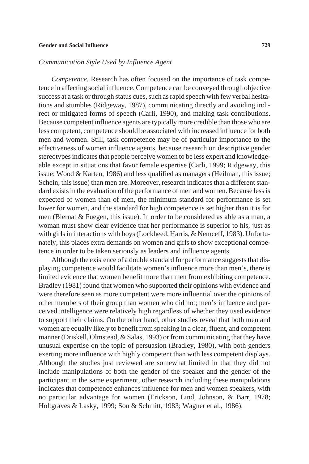### *Communication Style Used by Influence Agent*

*Competence.* Research has often focused on the importance of task competence in affecting social influence. Competence can be conveyed through objective success at a task or through status cues, such as rapid speech with few verbal hesitations and stumbles (Ridgeway, 1987), communicating directly and avoiding indirect or mitigated forms of speech (Carli, 1990), and making task contributions. Because competent influence agents are typically more credible than those who are less competent, competence should be associated with increased influence for both men and women. Still, task competence may be of particular importance to the effectiveness of women influence agents, because research on descriptive gender stereotypes indicates that people perceive women to be less expert and knowledgeable except in situations that favor female expertise (Carli, 1999; Ridgeway, this issue; Wood & Karten, 1986) and less qualified as managers (Heilman, this issue; Schein, this issue) than men are. Moreover, research indicates that a different standard exists in the evaluation of the performance of men and women. Because less is expected of women than of men, the minimum standard for performance is set lower for women, and the standard for high competence is set higher than it is for men (Biernat & Fuegen, this issue). In order to be considered as able as a man, a woman must show clear evidence that her performance is superior to his, just as with girls in interactions with boys (Lockheed, Harris, & Nemceff, 1983). Unfortunately, this places extra demands on women and girls to show exceptional competence in order to be taken seriously as leaders and influence agents.

Although the existence of a double standard for performance suggests that displaying competence would facilitate women's influence more than men's, there is limited evidence that women benefit more than men from exhibiting competence. Bradley (1981) found that women who supported their opinions with evidence and were therefore seen as more competent were more influential over the opinions of other members of their group than women who did not; men's influence and perceived intelligence were relatively high regardless of whether they used evidence to support their claims. On the other hand, other studies reveal that both men and women are equally likely to benefit from speaking in a clear, fluent, and competent manner (Driskell, Olmstead, & Salas, 1993) or from communicating that they have unusual expertise on the topic of persuasion (Bradley, 1980), with both genders exerting more influence with highly competent than with less competent displays. Although the studies just reviewed are somewhat limited in that they did not include manipulations of both the gender of the speaker and the gender of the participant in the same experiment, other research including these manipulations indicates that competence enhances influence for men and women speakers, with no particular advantage for women (Erickson, Lind, Johnson, & Barr, 1978; Holtgraves & Lasky, 1999; Son & Schmitt, 1983; Wagner et al., 1986).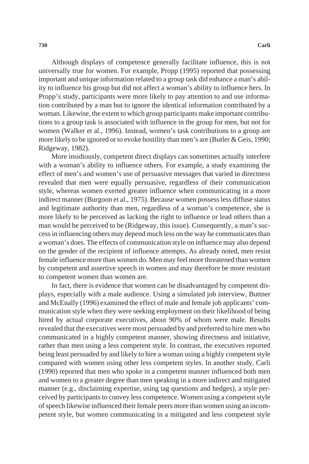Although displays of competence generally facilitate influence, this is not universally true for women. For example, Propp (1995) reported that possessing important and unique information related to a group task did enhance a man's ability to influence his group but did not affect a woman's ability to influence hers. In Propp's study, participants were more likely to pay attention to and use information contributed by a man but to ignore the identical information contributed by a woman. Likewise, the extent to which group participants make important contributions to a group task is associated with influence in the group for men, but not for women (Walker et al., 1996). Instead, women's task contributions to a group are more likely to be ignored or to evoke hostility than men's are (Butler & Geis, 1990; Ridgeway, 1982).

More insidiously, competent direct displays can sometimes actually interfere with a woman's ability to influence others. For example, a study examining the effect of men's and women's use of persuasive messages that varied in directness revealed that men were equally persuasive, regardless of their communication style, whereas women exerted greater influence when communicating in a more indirect manner (Burgoon et al., 1975). Because women possess less diffuse status and legitimate authority than men, regardless of a woman's competence, she is more likely to be perceived as lacking the right to influence or lead others than a man would be perceived to be (Ridgeway, this issue). Consequently, a man's success in influencing others may depend much less on the way he communicates than a woman's does. The effects of communication style on influence may also depend on the gender of the recipient of influence attempts. As already noted, men resist female influence more than women do. Men may feel more threatened than women by competent and assertive speech in women and may therefore be more resistant to competent women than women are.

In fact, there is evidence that women can be disadvantaged by competent displays, especially with a male audience. Using a simulated job interview, Buttner and McEnally (1996) examined the effect of male and female job applicants' communication style when they were seeking employment on their likelihood of being hired by actual corporate executives, about 90% of whom were male. Results revealed that the executives were most persuaded by and preferred to hire men who communicated in a highly competent manner, showing directness and initiative, rather than men using a less competent style. In contrast, the executives reported being least persuaded by and likely to hire a woman using a highly competent style compared with women using other less competent styles. In another study, Carli (1990) reported that men who spoke in a competent manner influenced both men and women to a greater degree than men speaking in a more indirect and mitigated manner (e.g., disclaiming expertise, using tag questions and hedges), a style perceived by participants to convey less competence. Women using a competent style of speech likewise influenced their female peers more than women using an incompetent style, but women communicating in a mitigated and less competent style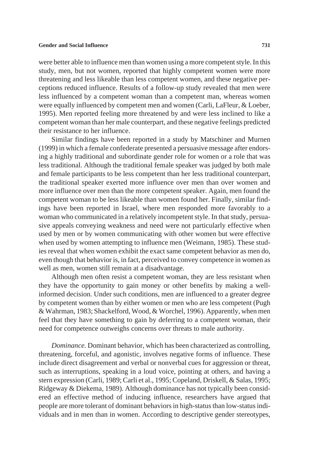were better able to influence men than women using a more competent style. In this study, men, but not women, reported that highly competent women were more threatening and less likeable than less competent women, and these negative perceptions reduced influence. Results of a follow-up study revealed that men were less influenced by a competent woman than a competent man, whereas women were equally influenced by competent men and women (Carli, LaFleur, & Loeber, 1995). Men reported feeling more threatened by and were less inclined to like a competent woman than her male counterpart, and these negative feelings predicted their resistance to her influence.

Similar findings have been reported in a study by Matschiner and Murnen (1999) in which a female confederate presented a persuasive message after endorsing a highly traditional and subordinate gender role for women or a role that was less traditional. Although the traditional female speaker was judged by both male and female participants to be less competent than her less traditional counterpart, the traditional speaker exerted more influence over men than over women and more influence over men than the more competent speaker. Again, men found the competent woman to be less likeable than women found her. Finally, similar findings have been reported in Israel, where men responded more favorably to a woman who communicated in a relatively incompetent style. In that study, persuasive appeals conveying weakness and need were not particularly effective when used by men or by women communicating with other women but were effective when used by women attempting to influence men (Weimann, 1985). These studies reveal that when women exhibit the exact same competent behavior as men do, even though that behavior is, in fact, perceived to convey competence in women as well as men, women still remain at a disadvantage.

Although men often resist a competent woman, they are less resistant when they have the opportunity to gain money or other benefits by making a wellinformed decision. Under such conditions, men are influenced to a greater degree by competent women than by either women or men who are less competent (Pugh & Wahrman, 1983; Shackelford, Wood, & Worchel, 1996). Apparently, when men feel that they have something to gain by deferring to a competent woman, their need for competence outweighs concerns over threats to male authority.

*Dominance.* Dominant behavior, which has been characterized as controlling, threatening, forceful, and agonistic, involves negative forms of influence. These include direct disagreement and verbal or nonverbal cues for aggression or threat, such as interruptions, speaking in a loud voice, pointing at others, and having a stern expression (Carli, 1989; Carli et al., 1995; Copeland, Driskell, & Salas, 1995; Ridgeway & Diekema, 1989). Although dominance has not typically been considered an effective method of inducing influence, researchers have argued that people are more tolerant of dominant behaviors in high-status than low-status individuals and in men than in women. According to descriptive gender stereotypes,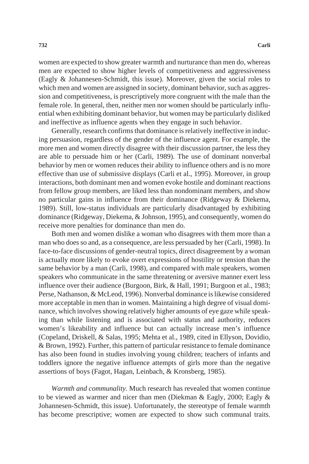women are expected to show greater warmth and nurturance than men do, whereas men are expected to show higher levels of competitiveness and aggressiveness (Eagly & Johannesen-Schmidt, this issue). Moreover, given the social roles to which men and women are assigned in society, dominant behavior, such as aggression and competitiveness, is prescriptively more congruent with the male than the female role. In general, then, neither men nor women should be particularly influential when exhibiting dominant behavior, but women may be particularly disliked and ineffective as influence agents when they engage in such behavior.

Generally, research confirms that dominance is relatively ineffective in inducing persuasion, regardless of the gender of the influence agent. For example, the more men and women directly disagree with their discussion partner, the less they are able to persuade him or her (Carli, 1989). The use of dominant nonverbal behavior by men or women reduces their ability to influence others and is no more effective than use of submissive displays (Carli et al., 1995). Moreover, in group interactions, both dominant men and women evoke hostile and dominant reactions from fellow group members, are liked less than nondominant members, and show no particular gains in influence from their dominance (Ridgeway & Diekema, 1989). Still, low-status individuals are particularly disadvantaged by exhibiting dominance (Ridgeway, Diekema, & Johnson, 1995), and consequently, women do receive more penalties for dominance than men do.

Both men and women dislike a woman who disagrees with them more than a man who does so and, as a consequence, are less persuaded by her (Carli, 1998). In face-to-face discussions of gender-neutral topics, direct disagreement by a woman is actually more likely to evoke overt expressions of hostility or tension than the same behavior by a man (Carli, 1998), and compared with male speakers, women speakers who communicate in the same threatening or aversive manner exert less influence over their audience (Burgoon, Birk, & Hall, 1991; Burgoon et al., 1983; Perse, Nathanson, & McLeod, 1996). Nonverbal dominance is likewise considered more acceptable in men than in women. Maintaining a high degree of visual dominance, which involves showing relatively higher amounts of eye gaze while speaking than while listening and is associated with status and authority, reduces women's likeability and influence but can actually increase men's influence (Copeland, Driskell, & Salas, 1995; Mehta et al., 1989, cited in Ellyson, Dovidio, & Brown, 1992). Further, this pattern of particular resistance to female dominance has also been found in studies involving young children; teachers of infants and toddlers ignore the negative influence attempts of girls more than the negative assertions of boys (Fagot, Hagan, Leinbach, & Kronsberg, 1985).

*Warmth and communality.* Much research has revealed that women continue to be viewed as warmer and nicer than men (Diekman & Eagly, 2000; Eagly & Johannesen-Schmidt, this issue). Unfortunately, the stereotype of female warmth has become prescriptive; women are expected to show such communal traits.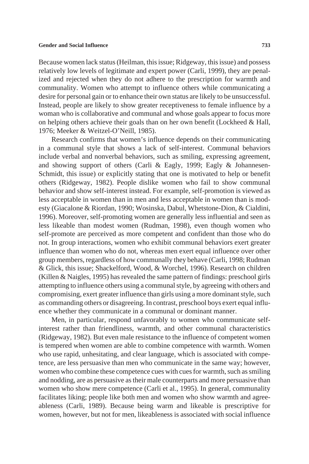Because women lack status (Heilman, this issue; Ridgeway, this issue) and possess relatively low levels of legitimate and expert power (Carli, 1999), they are penalized and rejected when they do not adhere to the prescription for warmth and communality. Women who attempt to influence others while communicating a desire for personal gain or to enhance their own status are likely to be unsuccessful. Instead, people are likely to show greater receptiveness to female influence by a woman who is collaborative and communal and whose goals appear to focus more on helping others achieve their goals than on her own benefit (Lockheed & Hall, 1976; Meeker & Weitzel-O'Neill, 1985).

Research confirms that women's influence depends on their communicating in a communal style that shows a lack of self-interest. Communal behaviors include verbal and nonverbal behaviors, such as smiling, expressing agreement, and showing support of others (Carli & Eagly, 1999; Eagly & Johannesen-Schmidt, this issue) or explicitly stating that one is motivated to help or benefit others (Ridgeway, 1982). People dislike women who fail to show communal behavior and show self-interest instead. For example, self-promotion is viewed as less acceptable in women than in men and less acceptable in women than is modesty (Giacalone & Riordan, 1990; Wosinska, Dabul, Whetstone-Dion, & Cialdini, 1996). Moreover, self-promoting women are generally less influential and seen as less likeable than modest women (Rudman, 1998), even though women who self-promote are perceived as more competent and confident than those who do not. In group interactions, women who exhibit communal behaviors exert greater influence than women who do not, whereas men exert equal influence over other group members, regardless of how communally they behave (Carli, 1998; Rudman & Glick, this issue; Shackelford, Wood, & Worchel, 1996). Research on children (Killen & Naigles, 1995) has revealed the same pattern of findings: preschool girls attempting to influence others using a communal style, by agreeing with others and compromising, exert greater influence than girls using a more dominant style, such as commanding others or disagreeing. In contrast, preschool boys exert equal influence whether they communicate in a communal or dominant manner.

Men, in particular, respond unfavorably to women who communicate selfinterest rather than friendliness, warmth, and other communal characteristics (Ridgeway, 1982). But even male resistance to the influence of competent women is tempered when women are able to combine competence with warmth. Women who use rapid, unhesitating, and clear language, which is associated with competence, are less persuasive than men who communicate in the same way; however, women who combine these competence cues with cues for warmth, such as smiling and nodding, are as persuasive as their male counterparts and more persuasive than women who show mere competence (Carli et al., 1995). In general, communality facilitates liking; people like both men and women who show warmth and agreeableness (Carli, 1989). Because being warm and likeable is prescriptive for women, however, but not for men, likeableness is associated with social influence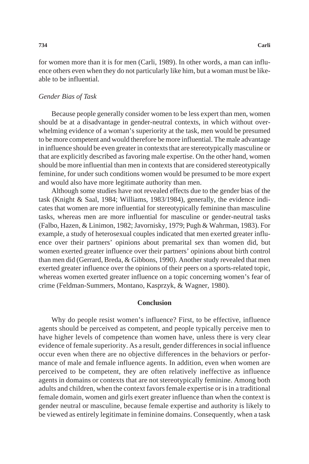for women more than it is for men (Carli, 1989). In other words, a man can influence others even when they do not particularly like him, but a woman must be likeable to be influential.

### *Gender Bias of Task*

Because people generally consider women to be less expert than men, women should be at a disadvantage in gender-neutral contexts, in which without overwhelming evidence of a woman's superiority at the task, men would be presumed to be more competent and would therefore be more influential. The male advantage in influence should be even greater in contexts that are stereotypically masculine or that are explicitly described as favoring male expertise. On the other hand, women should be more influential than men in contexts that are considered stereotypically feminine, for under such conditions women would be presumed to be more expert and would also have more legitimate authority than men.

Although some studies have not revealed effects due to the gender bias of the task (Knight & Saal, 1984; Williams, 1983/1984), generally, the evidence indicates that women are more influential for stereotypically feminine than masculine tasks, whereas men are more influential for masculine or gender-neutral tasks (Falbo, Hazen, & Linimon, 1982; Javornisky, 1979; Pugh & Wahrman, 1983). For example, a study of heterosexual couples indicated that men exerted greater influence over their partners' opinions about premarital sex than women did, but women exerted greater influence over their partners' opinions about birth control than men did (Gerrard, Breda, & Gibbons, 1990). Another study revealed that men exerted greater influence over the opinions of their peers on a sports-related topic, whereas women exerted greater influence on a topic concerning women's fear of crime (Feldman-Summers, Montano, Kasprzyk, & Wagner, 1980).

### **Conclusion**

Why do people resist women's influence? First, to be effective, influence agents should be perceived as competent, and people typically perceive men to have higher levels of competence than women have, unless there is very clear evidence of female superiority. As a result, gender differences in social influence occur even when there are no objective differences in the behaviors or performance of male and female influence agents. In addition, even when women are perceived to be competent, they are often relatively ineffective as influence agents in domains or contexts that are not stereotypically feminine. Among both adults and children, when the context favors female expertise or is in a traditional female domain, women and girls exert greater influence than when the context is gender neutral or masculine, because female expertise and authority is likely to be viewed as entirely legitimate in feminine domains. Consequently, when a task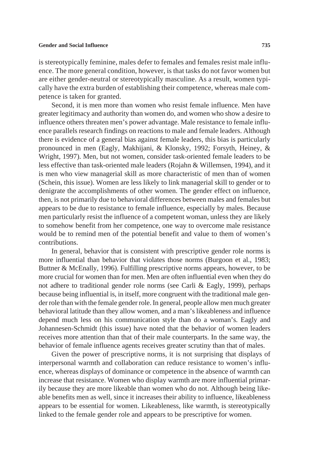is stereotypically feminine, males defer to females and females resist male influence. The more general condition, however, is that tasks do not favor women but are either gender-neutral or stereotypically masculine. As a result, women typically have the extra burden of establishing their competence, whereas male competence is taken for granted.

Second, it is men more than women who resist female influence. Men have greater legitimacy and authority than women do, and women who show a desire to influence others threaten men's power advantage. Male resistance to female influence parallels research findings on reactions to male and female leaders. Although there is evidence of a general bias against female leaders, this bias is particularly pronounced in men (Eagly, Makhijani, & Klonsky, 1992; Forsyth, Heiney, & Wright, 1997). Men, but not women, consider task-oriented female leaders to be less effective than task-oriented male leaders (Rojahn & Willemsen, 1994), and it is men who view managerial skill as more characteristic of men than of women (Schein, this issue). Women are less likely to link managerial skill to gender or to denigrate the accomplishments of other women. The gender effect on influence, then, is not primarily due to behavioral differences between males and females but appears to be due to resistance to female influence, especially by males. Because men particularly resist the influence of a competent woman, unless they are likely to somehow benefit from her competence, one way to overcome male resistance would be to remind men of the potential benefit and value to them of women's contributions.

In general, behavior that is consistent with prescriptive gender role norms is more influential than behavior that violates those norms (Burgoon et al., 1983; Buttner & McEnally, 1996). Fulfilling prescriptive norms appears, however, to be more crucial for women than for men. Men are often influential even when they do not adhere to traditional gender role norms (see Carli & Eagly, 1999), perhaps because being influential is, in itself, more congruent with the traditional male gender role than with the female gender role. In general, people allow men much greater behavioral latitude than they allow women, and a man's likeableness and influence depend much less on his communication style than do a woman's. Eagly and Johannesen-Schmidt (this issue) have noted that the behavior of women leaders receives more attention than that of their male counterparts. In the same way, the behavior of female influence agents receives greater scrutiny than that of males.

Given the power of prescriptive norms, it is not surprising that displays of interpersonal warmth and collaboration can reduce resistance to women's influence, whereas displays of dominance or competence in the absence of warmth can increase that resistance. Women who display warmth are more influential primarily because they are more likeable than women who do not. Although being likeable benefits men as well, since it increases their ability to influence, likeableness appears to be essential for women. Likeableness, like warmth, is stereotypically linked to the female gender role and appears to be prescriptive for women.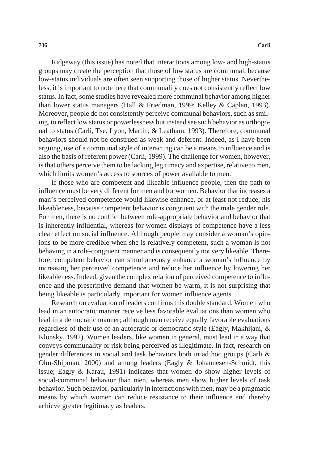Ridgeway (this issue) has noted that interactions among low- and high-status groups may create the perception that those of low status are communal, because low-status individuals are often seen supporting those of higher status. Nevertheless, it is important to note here that communality does not consistently reflect low status. In fact, some studies have revealed more communal behavior among higher than lower status managers (Hall & Friedman, 1999; Kelley & Caplan, 1993). Moreover, people do not consistently perceive communal behaviors, such as smiling, to reflect low status or powerlessness but instead see such behavior as orthogonal to status (Carli, Tse, Lyon, Martin, & Leatham, 1993). Therefore, communal behaviors should not be construed as weak and deferent. Indeed, as I have been arguing, use of a communal style of interacting can be a means to influence and is also the basis of referent power (Carli, 1999). The challenge for women, however, is that others perceive them to be lacking legitimacy and expertise, relative to men, which limits women's access to sources of power available to men.

If those who are competent and likeable influence people, then the path to influence must be very different for men and for women. Behavior that increases a man's perceived competence would likewise enhance, or at least not reduce, his likeableness, because competent behavior is congruent with the male gender role. For men, there is no conflict between role-appropriate behavior and behavior that is inherently influential, whereas for women displays of competence have a less clear effect on social influence. Although people may consider a woman's opinions to be more credible when she is relatively competent, such a woman is not behaving in a role-congruent manner and is consequently not very likeable. Therefore, competent behavior can simultaneously enhance a woman's influence by increasing her perceived competence and reduce her influence by lowering her likeableness. Indeed, given the complex relation of perceived competence to influence and the prescriptive demand that women be warm, it is not surprising that being likeable is particularly important for women influence agents.

Research on evaluation of leaders confirms this double standard. Women who lead in an autocratic manner receive less favorable evaluations than women who lead in a democratic manner; although men receive equally favorable evaluations regardless of their use of an autocratic or democratic style (Eagly, Makhijani, & Klonsky, 1992). Women leaders, like women in general, must lead in a way that conveys communality or risk being perceived as illegitimate. In fact, research on gender differences in social and task behaviors both in ad hoc groups (Carli & Olm-Shipman, 2000) and among leaders (Eagly & Johannesen-Schmidt, this issue; Eagly & Karau, 1991) indicates that women do show higher levels of social-communal behavior than men, whereas men show higher levels of task behavior. Such behavior, particularly in interactions with men, may be a pragmatic means by which women can reduce resistance to their influence and thereby achieve greater legitimacy as leaders.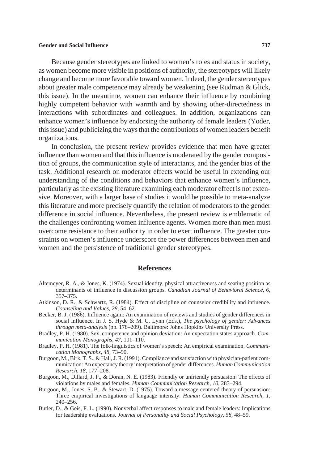Because gender stereotypes are linked to women's roles and status in society, as women become more visible in positions of authority, the stereotypes will likely change and become more favorable toward women. Indeed, the gender stereotypes about greater male competence may already be weakening (see Rudman & Glick, this issue). In the meantime, women can enhance their influence by combining highly competent behavior with warmth and by showing other-directedness in interactions with subordinates and colleagues. In addition, organizations can enhance women's influence by endorsing the authority of female leaders (Yoder, this issue) and publicizing the ways that the contributions of women leaders benefit organizations.

In conclusion, the present review provides evidence that men have greater influence than women and that this influence is moderated by the gender composition of groups, the communication style of interactants, and the gender bias of the task. Additional research on moderator effects would be useful in extending our understanding of the conditions and behaviors that enhance women's influence, particularly as the existing literature examining each moderator effect is not extensive. Moreover, with a larger base of studies it would be possible to meta-analyze this literature and more precisely quantify the relation of moderators to the gender difference in social influence. Nevertheless, the present review is emblematic of the challenges confronting women influence agents. Women more than men must overcome resistance to their authority in order to exert influence. The greater constraints on women's influence underscore the power differences between men and women and the persistence of traditional gender stereotypes.

### **References**

- Altemeyer, R. A., & Jones, K. (1974). Sexual identity, physical attractiveness and seating position as determinants of influence in discussion groups. *Canadian Journal of Behavioral Science, 6,* 357–375.
- Atkinson, D. R., & Schwartz, R. (1984). Effect of discipline on counselor credibility and influence. *Counseling and Values, 28,* 54–62.
- Becker, B. J. (1986). Influence again: An examination of reviews and studies of gender differences in social influence. In J. S. Hyde & M. C. Lynn (Eds.), *The psychology of gender: Advances through meta-analysis* (pp. 178–209). Baltimore: Johns Hopkins University Press.
- Bradley, P. H. (1980). Sex, competence and opinion deviation: An expectation states approach. *Communication Monographs, 47,* 101–110.
- Bradley, P. H. (1981). The folk-linguistics of women's speech: An empirical examination. *Communication Monographs, 48,* 73–90.
- Burgoon, M., Birk, T. S., & Hall, J. R. (1991). Compliance and satisfaction with physician-patient communication: An expectancy theory interpretation of gender differences. *Human Communication Research, 18,* 177–208.
- Burgoon, M., Dillard, J. P., & Doran, N. E. (1983). Friendly or unfriendly persuasion: The effects of violations by males and females. *Human Communication Research, 10,* 283–294.
- Burgoon, M., Jones, S. B., & Stewart, D. (1975). Toward a message-centered theory of persuasion: Three empirical investigations of language intensity. *Human Communication Research, 1,* 240–256.
- Butler, D., & Geis, F. L. (1990). Nonverbal affect responses to male and female leaders: Implications for leadership evaluations. *Journal of Personality and Social Psychology, 58,* 48–59.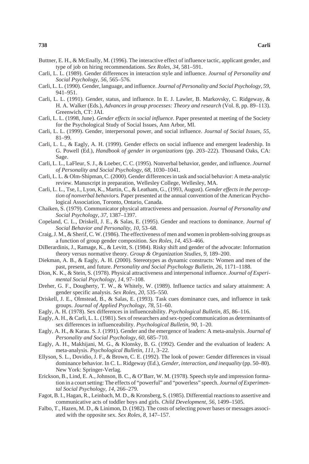- Buttner, E. H., & McEnally, M. (1996). The interactive effect of influence tactic, applicant gender, and type of job on hiring recommendations. *Sex Roles, 34,* 581–591.
- Carli, L. L. (1989). Gender differences in interaction style and influence. *Journal of Personality and Social Psychology, 56,* 565–576.
- Carli, L. L. (1990). Gender, language, and influence. *Journal of Personality and Social Psychology, 59,* 941–951.
- Carli, L. L. (1991). Gender, status, and influence. In E. J. Lawler, B. Markovsky, C. Ridgeway, & H. A. Walker (Eds.), *Advances in group processes: Theory and research* (Vol. 8, pp. 89–113). Greenwich, CT: JAI.
- Carli, L. L. (1998, June). *Gender effects in social influence.* Paper presented at meeting of the Society for the Psychological Study of Social Issues, Ann Arbor, MI.
- Carli, L. L. (1999). Gender, interpersonal power, and social influence. *Journal of Social Issues, 55,* 81–99.
- Carli, L. L., & Eagly, A. H. (1999). Gender effects on social influence and emergent leadership. In G. Powell (Ed.), *Handbook of gender in organizations* (pp. 203–222). Thousand Oaks, CA: Sage.
- Carli, L. L., LaFleur, S. J., & Loeber, C. C. (1995). Nonverbal behavior, gender, and influence. *Journal of Personality and Social Psychology, 68,* 1030–1041.
- Carli, L. L. & Olm-Shipman, C. (2000). Gender differences in task and social behavior: A meta-analytic review. Manuscript in preparation, Wellesley College, Wellesley, MA.
- Carli, L. L., Tse, I., Lyon, K., Martin, C., & Leatham, G., (1993, August). *Gender effects in the perception of nonverbal behaviors.* Paper presented at the annual convention of the American Psychological Association, Toronto, Ontario, Canada.
- Chaiken, S. (1979). Communicator physical attractiveness and persuasion. *Journal of Personality and Social Psychology, 37,* 1387–1397.
- Copeland, C. L., Driskell, J. E., & Salas, E. (1995). Gender and reactions to dominance. *Journal of Social Behavior and Personality, 10,* 53–68.
- Craig, J. M., & Sherif, C. W. (1986). The effectiveness of men and women in problem-solving groups as a function of group gender composition. *Sex Roles, 14,* 453–466.
- DiBerardinis, J., Ramage, K., & Levitt, S. (1984). Risky shift and gender of the advocate: Information theory versus normative theory. *Group & Organization Studies, 9,* 189–200.
- Diekman, A. B., & Eagly, A. H. (2000). Stereotypes as dynamic constructs: Women and men of the past, present, and future. *Personality and Social Psychology Bulletin, 26,* 1171–1188.
- Dion, K. K., & Stein, S. (1978). Physical attractiveness and interpersonal influence. *Journal of Experimental Social Psychology, 14,* 97–108.
- Dreher, G. F., Dougherty, T. W., & Whitely, W. (1989). Influence tactics and salary attainment: A gender specific analysis. *Sex Roles, 20,* 535–550.
- Driskell, J. E., Olmstead, B., & Salas, E. (1993). Task cues dominance cues, and influence in task groups. *Journal of Applied Psychology*, *78*, 51–60.
- Eagly, A. H. (1978). Sex differences in influenceability. *Psychological Bulletin, 85,* 86–116.
- Eagly, A. H., & Carli, L. L. (1981). Sex of researchers and sex-typed communication as determinants of sex differences in influenceability. *Psychological Bulletin, 90,* 1–20.
- Eagly, A. H., & Karau. S. J. (1991). Gender and the emergence of leaders: A meta-analysis. *Journal of Personality and Social Psychology, 60,* 685–710.
- Eagly, A. H., Makhijani, M. G., & Klonsky, B. G. (1992). Gender and the evaluation of leaders: A meta-analysis. *Psychological Bulletin, 111,* 3–22.
- Ellyson, S. L., Dovidio, J. F., & Brown, C. E. (1992). The look of power: Gender differences in visual dominance behavior. In C. L. Ridgeway (Ed.), *Gender, interaction, and inequality* (pp. 50–80). New York: Springer-Verlag.
- Erickson, B., Lind, E. A., Johnson, B. C., & O'Barr, W. M. (1978). Speech style and impression formation in a court setting: The effects of "powerful" and "powerless" speech. *Journal of Experimental Social Psychology, 14,* 266–279.
- Fagot, B. I., Hagan, R., Leinbach, M. D., & Kronsberg, S. (1985). Differential reactions to assertive and communicative acts of toddler boys and girls. *Child Development, 56,* 1499–1505.
- Falbo, T., Hazen, M. D., & Linimon, D. (1982). The costs of selecting power bases or messages associated with the opposite sex. *Sex Roles, 8,* 147–157.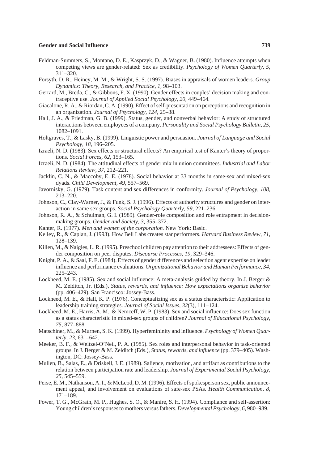- Feldman-Summers, S., Montano, D. E., Kasprzyk, D., & Wagner, B. (1980). Influence attempts when competing views are gender-related: Sex as credibility. *Psychology of Women Quarterly, 5,* 311–320.
- Forsyth, D. R., Heiney, M. M., & Wright, S. S. (1997). Biases in appraisals of women leaders. *Group Dynamics: Theory, Research, and Practice, 1,* 98–103.
- Gerrard, M., Breda, C., & Gibbons, F. X. (1990). Gender effects in couples' decision making and contraceptive use. *Journal of Applied Social Psychology, 20,* 449–464.
- Giacalone, R. A., & Riordan, C. A. (1990). Effect of self-presentation on perceptions and recognition in an organization. *Journal of Psychology, 124,* 25–38.
- Hall, J. A., & Friedman, G. B. (1999). Status, gender, and nonverbal behavior: A study of structured interactions between employees of a company. *Personality and Social Psychology Bulletin, 25,* 1082–1091.
- Holtgraves, T., & Lasky, B. (1999). Linguistic power and persuasion. *Journal of Language and Social Psychology, 18,* 196–205.
- Izraeli, N. D. (1983). Sex effects or structural effects? An empirical test of Kanter's theory of proportions. *Social Forces, 62,* 153–165.
- Izraeli, N. D. (1984). The attitudinal effects of gender mix in union committees. *Industrial and Labor Relations Review, 37,* 212–221.
- Jacklin, C. N., & Maccoby, E. E. (1978). Social behavior at 33 months in same-sex and mixed-sex dyads. *Child Development, 49,* 557–569.
- Javornisky, G. (1979). Task content and sex differences in conformity. *Journal of Psychology, 108,* 213–220.
- Johnson, C., Clay-Warner, J., & Funk, S. J. (1996). Effects of authority structures and gender on interaction in same sex groups. *Social Psychology Quarterly*, *59*, 221–236.
- Johnson, R. A., & Schulman, G. I. (1989). Gender-role composition and role entrapment in decisionmaking groups. *Gender and Society*, *3*, 355–372.
- Kanter, R. (1977). *Men and women of the corporation.* New York: Basic.
- Kelley, R., & Caplan, J. (1993). How Bell Labs creates star performers. *Harvard Business Review, 71*, 128–139.
- Killen, M., & Naigles, L. R. (1995). Preschool children pay attention to their addressees: Effects of gender composition on peer disputes. *Discourse Processes, 19,* 329–346.
- Knight, P. A., & Saal, F. E. (1984). Effects of gender differences and selection agent expertise on leader influence and performance evaluations. *Organizational Behavior and Human Performance, 34,* 225–243.
- Lockheed, M. E. (1985). Sex and social influence: A meta-analysis guided by theory. In J. Berger & M. Zelditch, Jr. (Eds.), *Status, rewards, and influence: How expectations organize behavior* (pp. 406–429). San Francisco: Jossey-Bass.
- Lockheed, M. E., & Hall, K. P. (1976). Conceptualizing sex as a status characteristic: Application to leadership training strategies. *Journal of Social Issues*, *32*(3), 111–124.
- Lockheed, M. E., Harris, A. M., & Nemceff, W. P. (1983). Sex and social influence: Does sex function as a status characteristic in mixed-sex groups of children? *Journal of Educational Psychology, 75,* 877–888.
- Matschiner, M., & Murnen, S. K. (1999). Hyperfemininity and influence. *Psychology of Women Quarterly, 23,* 631–642.
- Meeker, B. F., & Weitzel-O'Neil, P. A. (1985). Sex roles and interpersonal behavior in task-oriented groups. In J. Berger & M. Zelditch (Eds.), *Status, rewards, and influence* (pp. 379–405). Washington, DC: Jossey-Bass.
- Mullen, B., Salas, E., & Driskell, J. E. (1989). Salience, motivation, and artifact as contributions to the relation between participation rate and leadership. *Journal of Experimental Social Psychology, 25,* 545–559.
- Perse, E. M., Nathanson, A. I., & McLeod, D. M. (1996). Effects of spokesperson sex, public announcement appeal, and involvement on evaluations of safe-sex PSAs. *Health Communication, 8,* 171–189.
- Power, T. G., McGrath, M. P., Hughes, S. O., & Manire, S. H. (1994). Compliance and self-assertion: Young children's responses to mothers versus fathers. *Developmental Psychology, 6,* 980–989.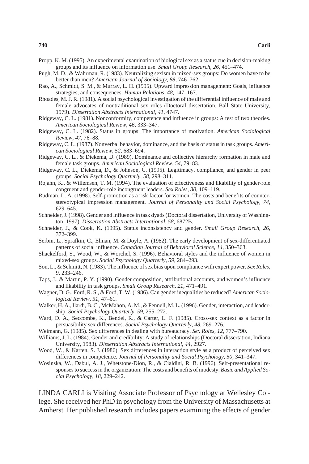- Propp, K. M. (1995). An experimental examination of biological sex as a status cue in decision-making groups and its influence on information use. *Small Group Research, 26,* 451–474.
- Pugh, M. D., & Wahrman, R. (1983). Neutralizing sexism in mixed-sex groups: Do women have to be better than men? *American Journal of Sociology, 88,* 746–762.
- Rao, A., Schmidt, S. M., & Murray, L. H. (1995). Upward impression management: Goals, influence strategies, and consequences. *Human Relations, 48,* 147–167.
- Rhoades, M. J. R. (1981). A social psychological investigation of the differential influence of male and female advocates of nontraditional sex roles (Doctoral dissertation, Ball State University, 1979). *Dissertation Abstracts International, 41,* 4747.
- Ridgeway, C. L. (1981). Nonconformity, competence and influence in groups: A test of two theories. *American Sociological Review, 46,* 333–347.
- Ridgeway, C. L. (1982). Status in groups: The importance of motivation. *American Sociological Review, 47,* 76–88.
- Ridgeway, C. L. (1987). Nonverbal behavior, dominance, and the basis of status in task groups. *American Sociological Review, 52,* 683–694.
- Ridgeway, C. L., & Diekema, D. (1989). Dominance and collective hierarchy formation in male and female task groups. *American Sociological Review, 54,* 79–83.
- Ridgeway, C. L., Diekema, D., & Johnson, C. (1995). Legitimacy, compliance, and gender in peer groups. *Social Psychology Quarterly, 58,* 298–311.
- Rojahn, K., & Willemsen, T. M. (1994). The evaluation of effectiveness and likability of gender-role congruent and gender-role incongruent leaders. *Sex Roles, 30,* 109–119.
- Rudman, L. A. (1998). Self-promotion as a risk factor for women: The costs and benefits of counterstereotypical impression management. *Journal of Personality and Social Psychology, 74,* 629–645.
- Schneider, J. (1998). Gender and influence in task dyads (Doctoral dissertation, University of Washington, 1997). *Dissertation Abstracts International, 58,* 6872B.
- Schneider, J., & Cook, K. (1995). Status inconsistency and gender. *Small Group Research, 26,* 372–399.
- Serbin, L., Sprafkin, C., Elman, M. & Doyle, A. (1982). The early development of sex-differentiated patterns of social influence. *Canadian Journal of Behavioral Science, 14,* 350–363.
- Shackelford, S., Wood, W., & Worchel, S. (1996). Behavioral styles and the influence of women in mixed-sex groups. *Social Psychology Quarterly, 59,* 284–293.
- Son, L., & Schmitt, N. (1983). The influence of sex bias upon compliance with expert power. *Sex Roles, 9,* 233–246.
- Taps, J., & Martin, P. Y. (1990). Gender composition, attributional accounts, and women's influence and likability in task groups. *Small Group Research, 21,* 471–491.
- Wagner, D. G., Ford, R. S., & Ford, T. W. (1986). Can gender inequalities be reduced? *American Sociological Review, 51,* 47–61.
- Walker, H. A., Ilardi, B. C., McMahon, A. M., & Fennell, M. L. (1996). Gender, interaction, and leadership. *Social Psychology Quarterly, 59,* 255–272.
- Ward, D. A., Seccombe, K., Bendel, R., & Carter, L. F. (1985). Cross-sex context as a factor in persuasibility sex differences. *Social Psychology Quarterly, 48,* 269–276.
- Weimann, G. (1985). Sex differences in dealing with bureaucracy. *Sex Roles, 12,* 777–790.
- Williams, J. L. (1984). Gender and credibility: A study of relationships (Doctoral dissertation, Indiana University, 1983). *Dissertation Abstracts International, 44,* 2927.
- Wood, W., & Karten, S. J. (1986). Sex differences in interaction style as a product of perceived sex differences in competence. *Journal of Personality and Social Psychology, 50,* 341–347.
- Wosinska, W., Dabul, A. J., Whetstone-Dion, R., & Cialdini, R. B. (1996). Self-presentational responses to success in the organization: The costs and benefits of modesty. *Basic and Applied Social Psychology, 18,* 229–242.

LINDA CARLI is Visiting Associate Professor of Psychology at Wellesley College. She received her PhD in psychology from the University of Massachusetts at Amherst. Her published research includes papers examining the effects of gender